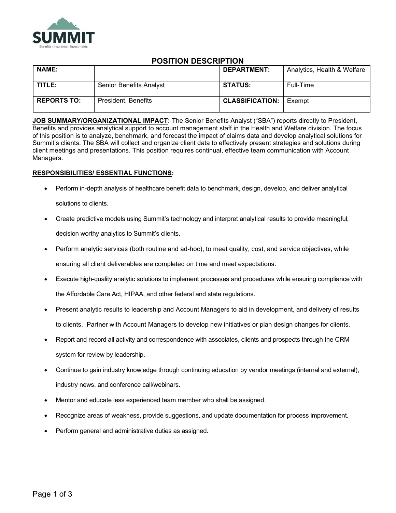

# POSITION DESCRIPTION

| <b>NAME:</b>       |                         | <b>DEPARTMENT:</b>     | Analytics, Health & Welfare |
|--------------------|-------------------------|------------------------|-----------------------------|
| TITLE:             | Senior Benefits Analyst | <b>STATUS:</b>         | Full-Time                   |
| <b>REPORTS TO:</b> | President, Benefits     | <b>CLASSIFICATION:</b> | Exempt                      |

JOB SUMMARY/ORGANIZATIONAL IMPACT: The Senior Benefits Analyst ("SBA") reports directly to President, Benefits and provides analytical support to account management staff in the Health and Welfare division. The focus of this position is to analyze, benchmark, and forecast the impact of claims data and develop analytical solutions for Summit's clients. The SBA will collect and organize client data to effectively present strategies and solutions during client meetings and presentations. This position requires continual, effective team communication with Account Managers.

## RESPONSIBILITIES/ ESSENTIAL FUNCTIONS:

- Perform in-depth analysis of healthcare benefit data to benchmark, design, develop, and deliver analytical solutions to clients.
- Create predictive models using Summit's technology and interpret analytical results to provide meaningful, decision worthy analytics to Summit's clients.
- Perform analytic services (both routine and ad-hoc), to meet quality, cost, and service objectives, while ensuring all client deliverables are completed on time and meet expectations.
- Execute high-quality analytic solutions to implement processes and procedures while ensuring compliance with the Affordable Care Act, HIPAA, and other federal and state regulations.
- Present analytic results to leadership and Account Managers to aid in development, and delivery of results to clients. Partner with Account Managers to develop new initiatives or plan design changes for clients.
- Report and record all activity and correspondence with associates, clients and prospects through the CRM system for review by leadership.
- Continue to gain industry knowledge through continuing education by vendor meetings (internal and external), industry news, and conference call/webinars.
- Mentor and educate less experienced team member who shall be assigned.
- Recognize areas of weakness, provide suggestions, and update documentation for process improvement.
- Perform general and administrative duties as assigned.